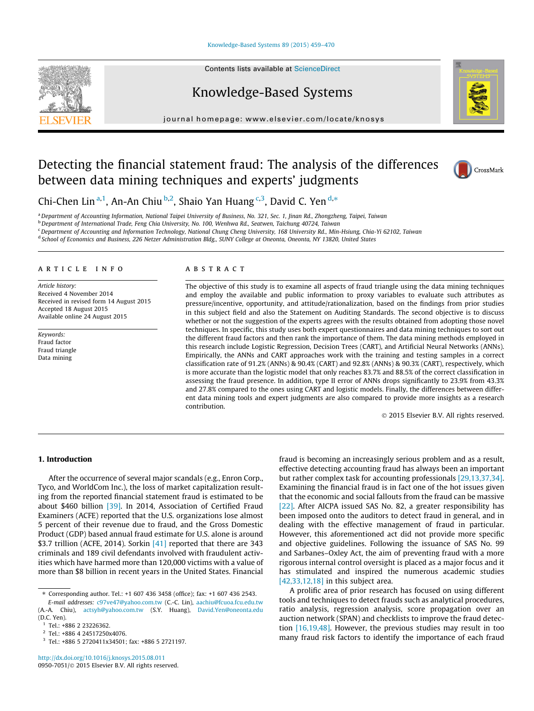#### [Knowledge-Based Systems 89 \(2015\) 459–470](http://dx.doi.org/10.1016/j.knosys.2015.08.011)



# Knowledge-Based Systems

journal homepage: [www.elsevier.com/locate/knosys](http://www.elsevier.com/locate/knosys)



# Detecting the financial statement fraud: The analysis of the differences between data mining techniques and experts' judgments



Chi-Chen Lin<sup>a,1</sup>, An-An Chiu<sup>b,2</sup>, Shaio Yan Huang<sup>c,3</sup>, David C. Yen<sup>d,\*</sup>

a Department of Accounting Information, National Taipei University of Business, No. 321, Sec. 1, Jinan Rd., Zhongzheng, Taipei, Taiwan

<sup>b</sup> Department of International Trade, Feng Chia University, No. 100, Wenhwa Rd., Seatwen, Taichung 40724, Taiwan

<sup>c</sup> Department of Accounting and Information Technology, National Chung Cheng University, 168 University Rd., Min-Hsiung, Chia-Yi 62102, Taiwan

<sup>d</sup> School of Economics and Business, 226 Netzer Administration Bldg., SUNY College at Oneonta, Oneonta, NY 13820, United States

#### article info

Article history: Received 4 November 2014 Received in revised form 14 August 2015 Accepted 18 August 2015 Available online 24 August 2015

Keywords: Fraud factor Fraud triangle Data mining

#### **ABSTRACT**

The objective of this study is to examine all aspects of fraud triangle using the data mining techniques and employ the available and public information to proxy variables to evaluate such attributes as pressure/incentive, opportunity, and attitude/rationalization, based on the findings from prior studies in this subject field and also the Statement on Auditing Standards. The second objective is to discuss whether or not the suggestion of the experts agrees with the results obtained from adopting those novel techniques. In specific, this study uses both expert questionnaires and data mining techniques to sort out the different fraud factors and then rank the importance of them. The data mining methods employed in this research include Logistic Regression, Decision Trees (CART), and Artificial Neural Networks (ANNs). Empirically, the ANNs and CART approaches work with the training and testing samples in a correct classification rate of 91.2% (ANNs) & 90.4% (CART) and 92.8% (ANNs) & 90.3% (CART), respectively, which is more accurate than the logistic model that only reaches 83.7% and 88.5% of the correct classification in assessing the fraud presence. In addition, type II error of ANNs drops significantly to 23.9% from 43.3% and 27.8% compared to the ones using CART and logistic models. Finally, the differences between different data mining tools and expert judgments are also compared to provide more insights as a research contribution.

2015 Elsevier B.V. All rights reserved.

## 1. Introduction

After the occurrence of several major scandals (e.g., Enron Corp., Tyco, and WorldCom Inc.), the loss of market capitalization resulting from the reported financial statement fraud is estimated to be about \$460 billion [39]. In 2014, Association of Certified Fraud Examiners (ACFE) reported that the U.S. organizations lose almost 5 percent of their revenue due to fraud, and the Gross Domestic Product (GDP) based annual fraud estimate for U.S. alone is around \$3.7 trillion (ACFE, 2014). Sorkin [41] reported that there are 343 criminals and 189 civil defendants involved with fraudulent activities which have harmed more than 120,000 victims with a value of more than \$8 billion in recent years in the United States. Financial

fraud is becoming an increasingly serious problem and as a result, effective detecting accounting fraud has always been an important but rather complex task for accounting professionals [29,13,37,34]. Examining the financial fraud is in fact one of the hot issues given that the economic and social fallouts from the fraud can be massive [22]. After AICPA issued SAS No. 82, a greater responsibility has been imposed onto the auditors to detect fraud in general, and in dealing with the effective management of fraud in particular. However, this aforementioned act did not provide more specific and objective guidelines. Following the issuance of SAS No. 99 and Sarbanes–Oxley Act, the aim of preventing fraud with a more rigorous internal control oversight is placed as a major focus and it has stimulated and inspired the numerous academic studies  $[42,33,12,18]$  in this subject area.

A prolific area of prior research has focused on using different tools and techniques to detect frauds such as analytical procedures, ratio analysis, regression analysis, score propagation over an auction network (SPAN) and checklists to improve the fraud detection [16,19,48]. However, the previous studies may result in too many fraud risk factors to identify the importance of each fraud

<sup>⇑</sup> Corresponding author. Tel.: +1 607 436 3458 (office); fax: +1 607 436 2543.

E-mail addresses: [c97ve47@yahoo.com.tw](mailto:c97ve47@yahoo.com.tw) (C.-C. Lin), [aachiu@fcuoa.fcu.edu.tw](mailto:aachiu@fcuoa.fcu.edu.tw) (A.-A. Chiu), [actsyh@yahoo.com.tw](mailto:actsyh@yahoo.com.tw) (S.Y. Huang), [David.Yen@oneonta.edu](mailto:David.Yen@oneonta.edu) (D.C. Yen).

<sup>1</sup> Tel.: +886 2 23226362.

<sup>2</sup> Tel.: +886 4 24517250x4076.

<sup>3</sup> Tel.: +886 5 2720411x34501; fax: +886 5 2721197.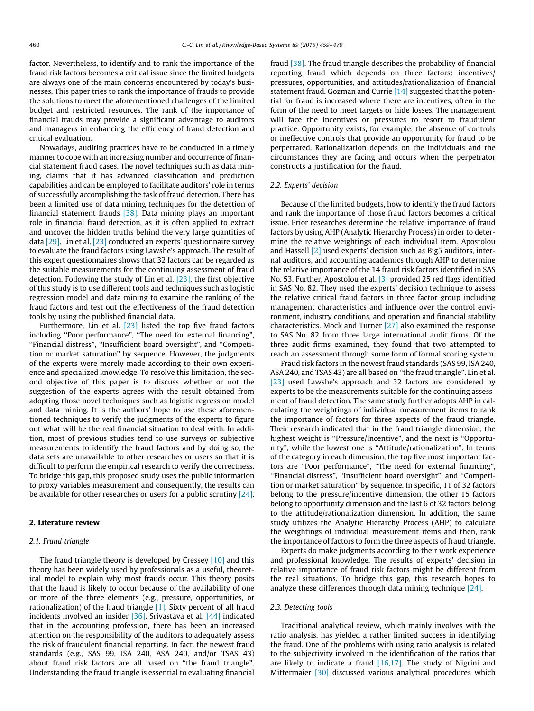factor. Nevertheless, to identify and to rank the importance of the fraud risk factors becomes a critical issue since the limited budgets are always one of the main concerns encountered by today's businesses. This paper tries to rank the importance of frauds to provide the solutions to meet the aforementioned challenges of the limited budget and restricted resources. The rank of the importance of financial frauds may provide a significant advantage to auditors and managers in enhancing the efficiency of fraud detection and critical evaluation.

Nowadays, auditing practices have to be conducted in a timely manner to cope with an increasing number and occurrence of financial statement fraud cases. The novel techniques such as data mining, claims that it has advanced classification and prediction capabilities and can be employed to facilitate auditors' role in terms of successfully accomplishing the task of fraud detection. There has been a limited use of data mining techniques for the detection of financial statement frauds [38]. Data mining plays an important role in financial fraud detection, as it is often applied to extract and uncover the hidden truths behind the very large quantities of data [29]. Lin et al. [23] conducted an experts' questionnaire survey to evaluate the fraud factors using Lawshe's approach. The result of this expert questionnaires shows that 32 factors can be regarded as the suitable measurements for the continuing assessment of fraud detection. Following the study of Lin et al. [23], the first objective of this study is to use different tools and techniques such as logistic regression model and data mining to examine the ranking of the fraud factors and test out the effectiveness of the fraud detection tools by using the published financial data.

Furthermore, Lin et al. [23] listed the top five fraud factors including ''Poor performance", ''The need for external financing", ''Financial distress", ''Insufficient board oversight", and ''Competition or market saturation" by sequence. However, the judgments of the experts were merely made according to their own experience and specialized knowledge. To resolve this limitation, the second objective of this paper is to discuss whether or not the suggestion of the experts agrees with the result obtained from adopting those novel techniques such as logistic regression model and data mining. It is the authors' hope to use these aforementioned techniques to verify the judgments of the experts to figure out what will be the real financial situation to deal with. In addition, most of previous studies tend to use surveys or subjective measurements to identify the fraud factors and by doing so, the data sets are unavailable to other researches or users so that it is difficult to perform the empirical research to verify the correctness. To bridge this gap, this proposed study uses the public information to proxy variables measurement and consequently, the results can be available for other researches or users for a public scrutiny [24].

## 2. Literature review

## 2.1. Fraud triangle

The fraud triangle theory is developed by Cressey [10] and this theory has been widely used by professionals as a useful, theoretical model to explain why most frauds occur. This theory posits that the fraud is likely to occur because of the availability of one or more of the three elements (e.g., pressure, opportunities, or rationalization) of the fraud triangle [1]. Sixty percent of all fraud incidents involved an insider [36]. Srivastava et al. [44] indicated that in the accounting profession, there has been an increased attention on the responsibility of the auditors to adequately assess the risk of fraudulent financial reporting. In fact, the newest fraud standards (e.g., SAS 99, ISA 240, ASA 240, and/or TSAS 43) about fraud risk factors are all based on ''the fraud triangle". Understanding the fraud triangle is essential to evaluating financial fraud [38]. The fraud triangle describes the probability of financial reporting fraud which depends on three factors: incentives/ pressures, opportunities, and attitudes/rationalization of financial statement fraud. Gozman and Currie [14] suggested that the potential for fraud is increased where there are incentives, often in the form of the need to meet targets or hide losses. The management will face the incentives or pressures to resort to fraudulent practice. Opportunity exists, for example, the absence of controls or ineffective controls that provide an opportunity for fraud to be perpetrated. Rationalization depends on the individuals and the circumstances they are facing and occurs when the perpetrator constructs a justification for the fraud.

# 2.2. Experts' decision

Because of the limited budgets, how to identify the fraud factors and rank the importance of those fraud factors becomes a critical issue. Prior researches determine the relative importance of fraud factors by using AHP (Analytic Hierarchy Process) in order to determine the relative weightings of each individual item. Apostolou and Hassell [2] used experts' decision such as Big5 auditors, internal auditors, and accounting academics through AHP to determine the relative importance of the 14 fraud risk factors identified in SAS No. 53. Further, Apostolou et al. [3] provided 25 red flags identified in SAS No. 82. They used the experts' decision technique to assess the relative critical fraud factors in three factor group including management characteristics and influence over the control environment, industry conditions, and operation and financial stability characteristics. Mock and Turner [27] also examined the response to SAS No. 82 from three large international audit firms. Of the three audit firms examined, they found that two attempted to reach an assessment through some form of formal scoring system.

Fraud risk factors in the newest fraud standards (SAS 99, ISA 240, ASA 240, and TSAS 43) are all based on ''the fraud triangle". Lin et al. [23] used Lawshe's approach and 32 factors are considered by experts to be the measurements suitable for the continuing assessment of fraud detection. The same study further adopts AHP in calculating the weightings of individual measurement items to rank the importance of factors for three aspects of the fraud triangle. Their research indicated that in the fraud triangle dimension, the highest weight is ''Pressure/Incentive", and the next is ''Opportunity", while the lowest one is ''Attitude/rationalization". In terms of the category in each dimension, the top five most important factors are ''Poor performance", ''The need for external financing", ''Financial distress", ''Insufficient board oversight", and ''Competition or market saturation" by sequence. In specific, 11 of 32 factors belong to the pressure/incentive dimension, the other 15 factors belong to opportunity dimension and the last 6 of 32 factors belong to the attitude/rationalization dimension. In addition, the same study utilizes the Analytic Hierarchy Process (AHP) to calculate the weightings of individual measurement items and then, rank the importance of factors to form the three aspects of fraud triangle.

Experts do make judgments according to their work experience and professional knowledge. The results of experts' decision in relative importance of fraud risk factors might be different from the real situations. To bridge this gap, this research hopes to analyze these differences through data mining technique [24].

#### 2.3. Detecting tools

Traditional analytical review, which mainly involves with the ratio analysis, has yielded a rather limited success in identifying the fraud. One of the problems with using ratio analysis is related to the subjectivity involved in the identification of the ratios that are likely to indicate a fraud [16,17]. The study of Nigrini and Mittermaier [30] discussed various analytical procedures which